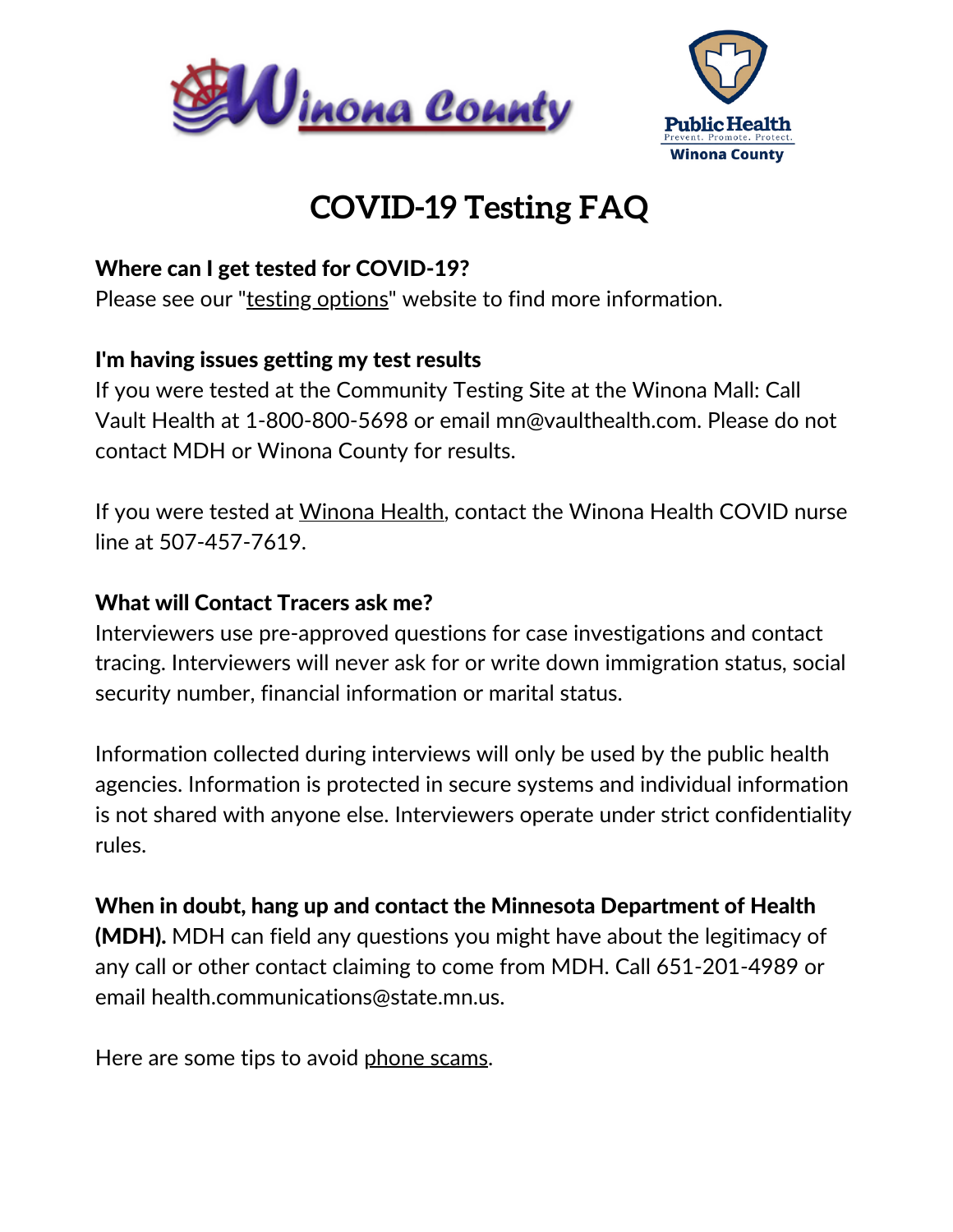



# **COVID-19 Testing FAQ**

### Where can I get tested for COVID-19?

Please see our "testing [options](https://www.co.winona.mn.us/390/Testing-Options)" website to find more information.

## I'm having issues getting my test results

If you were tested at the Community Testing Site at the Winona Mall: Call Vault Health at 1-800-800-5698 or email mn@vaulthealth.com. Please do not contact MDH or Winona County for results.

If you were tested at [Winona](https://www.winonahealth.org/) Health, contact the Winona Health COVID nurse line at 507-457-7619.

#### What will Contact Tracers ask me?

Interviewers use pre-approved questions for case investigations and contact tracing. Interviewers will never ask for or write down immigration status, social security number, financial information or marital status.

Information collected during interviews will only be used by the public health agencies. Information is protected in secure systems and individual information is not shared with anyone else. Interviewers operate under strict confidentiality rules.

When in doubt, hang up and contact the Minnesota Department of Health (MDH). MDH can field any questions you might have about the legitimacy of any call or other contact claiming to come from MDH. Call 651-201-4989 or email health.communications@state.mn.us.

Here are some tips to avoid [phone](https://www.health.state.mn.us/news/phonescams.html) scams.